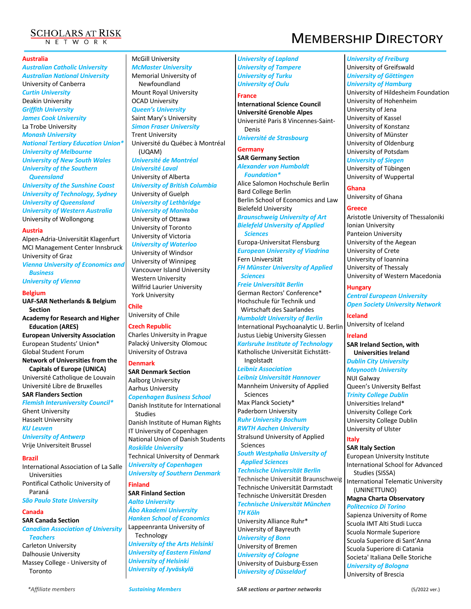

#### **Australia**

*Australian Catholic University Australian National University* University of Canberra *Curtin University* Deakin University *Griffith University James Cook University* La Trobe University *Monash University National Tertiary Education Union\* University of Melbourne University of New South Wales University of the Southern Queensland University of the Sunshine Coast University of Technology, Sydney University of Queensland University of Western Australia* University of Wollongong

#### **Austria**

Alpen-Adria-Universität Klagenfurt MCI Management Center Innsbruck University of Graz *Vienna University of Economics and Business*

*University of Vienna*

#### **Belgium**

**UAF-SAR Netherlands & Belgium Section Academy for Research and Higher Education (ARES) European University Association**

European Students' Union\* Global Student Forum **Network of Universities from the** 

**Capitals of Europe (UNICA)** Université Catholique de Louvain Université Libre de Bruxelles **SAR Flanders Section**

*Flemish Interuniversity Council\** Ghent University Hasselt University *KU Leuven*

*University of Antwerp* Vrije Universiteit Brussel

#### **Brazil**

International Association of La Salle Universities Pontifical Catholic University of Paraná

*São Paulo State University*

# **Canada**

**SAR Canada Section** *Canadian Association of University* 

*Teachers*

Carleton University Dalhousie University Massey College - University of Toronto

# McGill University

*McMaster University* Memorial University of Newfoundland Mount Royal University OCAD University *Queen's University*  Saint Mary's University *Simon Fraser University* Trent University Université du Québec à Montréal (UQAM) *Université de Montréal Université Laval* University of Alberta

*University of British Columbia* University of Guelph *University of Lethbridge University of Manitoba* University of Ottawa University of Toronto University of Victoria *University of Waterloo* University of Windsor

University of Winnipeg Vancouver Island University Western University Wilfrid Laurier University York University

**Chile** University of Chile

# **Czech Republic**

Charles University in Prague Palacký University Olomouc University of Ostrava

#### **Denmark**

**SAR Denmark Section** Aalborg University Aarhus University *Copenhagen Business School* Danish Institute for International

Studies Danish Institute of Human Rights IT University of Copenhagen National Union of Danish Students *Roskilde University*  Technical University of Denmark *University of Copenhagen University of Southern Denmark*

**Finland**

**SAR Finland Section** *Aalto University Åbo Akademi University Hanken School of Economics* Lappeenranta University of Technology *University of the Arts Helsinki University of Eastern Finland University of Helsinki University of Jyväskylä*

*University of Lapland University of Tampere University of Turku University of Oulu*

#### **France**

**International Science Council Université Grenoble Alpes** Université Paris 8 Vincennes-Saint-Denis *Université de Strasbourg*

**Germany**

**SAR Germany Section** *Alexander von Humboldt Foundation\**

Alice Salomon Hochschule Berlin Bard College Berlin Berlin School of Economics and Law Bielefeld University *Braunschweig University of Art Bielefeld University of Applied Sciences* Europa-Universitat Flensburg

*European University of Viadrina* Fern Universität *FH Münster University of Applied Sciences*

*Freie Universität Berlin* German Rectors' Conference\* Hochschule für Technik und Wirtschaft des Saarlandes

*Humboldt University of Berlin* International Psychoanalytic U. Berlin Justus Liebig University Giessen *Karlsruhe Institute of Technology* Katholische Universität Eichstätt-

Ingolstadt *Leibniz Association Leibniz Universität Hannover* Mannheim University of Applied

Sciences Max Planck Society\*

Paderborn University *Ruhr University Bochum RWTH Aachen University*

Stralsund University of Applied Sciences

*South Westphalia University of Applied Sciences*

*Technische Universität Berlin*

Technische Universität Braunschweig Technische Universität Darmstadt Technische Universität Dresden *Technische Universität München TH Köln*

University Alliance Ruhr\* University of Bayreuth *University of Bonn* University of Bremen *University of Cologne* University of Duisburg-Essen *University of Düsseldorf*

#### *University of Freiburg* University of Greifswald *University of Göttingen University of Hamburg* University of Hildesheim Foundation University of Hohenheim University of Jena University of Kassel

University of Konstanz University of Münster University of Oldenburg

# University of Potsdam

*University of Siegen* University of Tübingen University of Wuppertal

**Ghana**

University of Ghana

#### **Greece**

Aristotle University of Thessaloniki Ionian University Panteion University University of the Aegean University of Crete University of Ioannina University of Thessaly University of Western Macedonia

**Hungary**

*Central European University Open Society University Network*

**Iceland** University of Iceland

**Ireland SAR Ireland Section, with Universities Ireland**

*Dublin City University Maynooth University*

NUI Galway Queen's University Belfast *Trinity College Dublin*

Universities Ireland\*

University College Cork University College Dublin University of Ulster

#### **Italy**

**SAR Italy Section**

European University Institute

International School for Advanced Studies (SISSA)

International Telematic University (UNINETTUNO)

#### **Magna Charta Observatory** *Politecnico Di Torino*

Sapienza University of Rome Scuola IMT Alti Studi Lucca Scuola Normale Superiore Scuola Superiore di Sant'Anna Scuola Superiore di Catania Societa' Italiana Delle Storiche *University of Bologna* University of Brescia

# **SCHOLARS AT RISK**<br>MEMBERSHIP DIRECTORY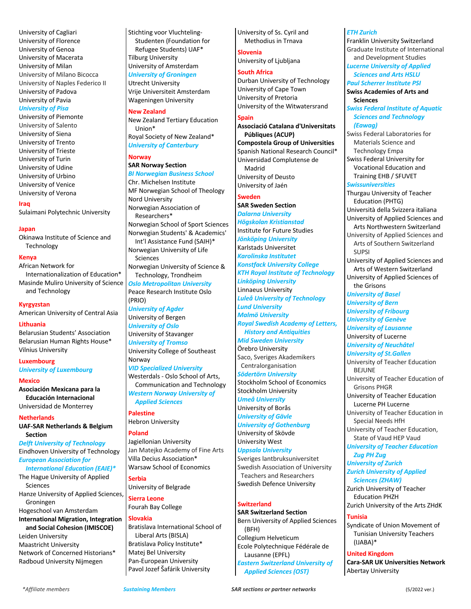University of Cagliari University of Florence University of Genoa University of Macerata University of Milan University of Milano Bicocca University of Naples Federico II University of Padova University of Pavia

#### *University of Pisa*

University of Piemonte University of Salento University of Siena University of Trento University of Trieste University of Turin University of Udine University of Urbino University of Venice University of Verona

**Iraq**

Sulaimani Polytechnic University

#### **Japan**

Okinawa Institute of Science and Technology

#### **Kenya**

African Network for Internationalization of Education\* Masinde Muliro University of Science and Technology

**Kyrgyzstan** American University of Central Asia

#### **Lithuania**

Belarusian Students' Association Belarusian Human Rights House\* Vilnius University

#### **Luxembourg**

*University of Luxembourg* 

#### **Mexico**

**Asociación Mexicana para la Educación Internacional** Universidad de Monterrey

#### **Netherlands**

**UAF-SAR Netherlands & Belgium Section**

*Delft University of Technology* Eindhoven University of Technology *European Association for International Education (EAIE)\** The Hague University of Applied

Sciences Hanze University of Applied Sciences, Groningen Hogeschool van Amsterdam

**International Migration, Integration and Social Cohesion (IMISCOE)** Leiden University Maastricht University

Network of Concerned Historians\* Radboud University Nijmegen

Stichting voor Vluchteling-Studenten (Foundation for Refugee Students) UAF\* Tilburg University University of Amsterdam *University of Groningen*

Utrecht University Vrije Universiteit Amsterdam Wageningen University

**New Zealand** New Zealand Tertiary Education Union\* Royal Society of New Zealand\* *University of Canterbury*

# **Norway**

# **SAR Norway Section**

*BI Norwegian Business School* Chr. Michelsen Institute MF Norwegian School of Theology Nord University Norwegian Association of Researchers\* Norwegian School of Sport Sciences Norwegian Students' & Academics' Int'l Assistance Fund (SAIH)\* Norwegian University of Life Sciences Norwegian University of Science & Technology, Trondheim *Oslo Metropolitan University*  Peace Research Institute Oslo

(PRIO) *University of Agder*

University of Bergen *University of Oslo* University of Stavanger *University of Tromso* University College of Southeast Norway

#### *VID Specialized University*

Westerdals - Oslo School of Arts, Communication and Technology *Western Norway University of* 

*Applied Sciences* **Palestine**

Hebron University

#### **Poland**

Jagiellonian University Jan Matejko Academy of Fine Arts Villa Decius Association\* Warsaw School of Economics

#### **Serbia**

University of Belgrade

**Sierra Leone** Fourah Bay College

#### **Slovakia**

Bratislava International School of Liberal Arts (BISLA) Bratislava Policy Institute\* Matej Bel University Pan-European University Pavol Jozef Šafárik University

University of Ss. Cyril and Methodius in Trnava

#### **Slovenia** University of Ljubljana

# **South Africa**

Durban University of Technology University of Cape Town University of Pretoria University of the Witwatersrand

### **Spain**

**Associació Catalana d'Universitats Públiques (ACUP) Compostela Group of Universities** Spanish National Research Council\* Universidad Complutense de Madrid University of Deusto University of Jaén

#### **Sweden**

**SAR Sweden Section** *Dalarna University Högskolan Kristianstad* Institute for Future Studies *Jönköping University* Karlstads Universitet *Karolinska Institutet Konstfack University College KTH Royal Institute of Technology Linköping University* Linnaeus University *Luleå University of Technology Lund University Malmö University Royal Swedish Academy of Letters, History and Antiquities Mid Sweden University* Örebro University Saco, Sveriges Akademikers Centralorganisation *Södertörn University* Stockholm School of Economics Stockholm University *Umeå University* University of Borås *University of Gävle University of Gothenburg* University of Skövde University West *Uppsala University* Sveriges lantbruksuniversitet Swedish Association of University Teachers and Researchers Swedish Defence University

#### **Switzerland**

**SAR Switzerland Section** Bern University of Applied Sciences (BFH) Collegium Helveticum Ecole Polytechnique Fédérale de Lausanne (EPFL) *Eastern Switzerland University of Applied Sciences (OST)*

#### *ETH Zurich*

Franklin University Switzerland Graduate Institute of International and Development Studies

# *Lucerne University of Applied Sciences and Arts HSLU*

*Paul Scherrer Institute PSI* **Swiss Academies of Arts and** 

**Sciences** *Swiss Federal Institute of Aquatic Sciences and Technology (Eawag)*

Swiss Federal Laboratories for Materials Science and Technology Empa

Swiss Federal University for Vocational Education and Training EHB / SFUVET

#### *Swissuniversities*

Thurgau University of Teacher Education (PHTG) Università della Svizzera italiana University of Applied Sciences and Arts Northwestern Switzerland University of Applied Sciences and Arts of Southern Switzerland **SUPSI** University of Applied Sciences and Arts of Western Switzerland University of Applied Sciences of the Grisons *University of Basel University of Bern University of Fribourg University of Genève University of Lausanne* University of Lucerne *University of Neuchâtel University of St.Gallen* University of Teacher Education BEJUNE University of Teacher Education of Grisons PHGR University of Teacher Education Lucerne PH Lucerne University of Teacher Education in Special Needs HfH University of Teacher Education, State of Vaud HEP Vaud *University of Teacher Education Zug PH Zug University of Zurich Zurich University of Applied Sciences (ZHAW)* Zurich University of Teacher Education PHZH Zurich University of the Arts ZHdK

#### **Tunisia**

Syndicate of Union Movement of Tunisian University Teachers (IJABA)\*

#### **United Kingdom**

**Cara-SAR UK Universities Network** Abertay University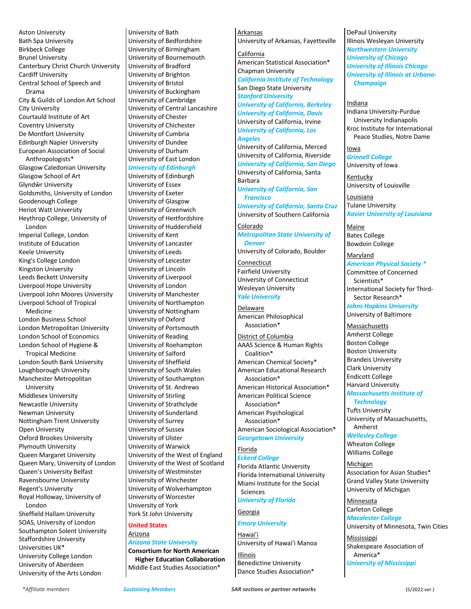Aston University Bath Spa University Birkbeck College Brunel University Canterbury Christ Church University Cardiff University Central School of Speech and Drama City & Guilds of London Art School City University Courtauld Institute of Art Coventry University De Montfort University Edinburgh Napier University European Association of Social Anthropologists\* Glasgow Caledonian University Glasgow School of Art Glyndŵr University Goldsmiths, University of London Goodenough College Heriot Watt University Heythrop College, University of London Imperial College, London Institute of Education Keele University King's College London Kingston University Leeds Beckett University Liverpool Hope University Liverpool John Moores University Liverpool School of Tropical Medicine London Business School London Metropolitan University London School of Economics London School of Hygiene & Tropical Medicine London South Bank University Loughborough University Manchester Metropolitan University Middlesex University Newcastle University Newman University Nottingham Trent University Open University Oxford Brookes University Plymouth University Queen Margaret University Queen Mary, University of London Queen's University Belfast Ravensbourne University Regent's University Royal Holloway, University of London Sheffield Hallam University SOAS, University of London Southampton Solent University

Staffordshire University Universities UK\* University College London University of Aberdeen University of the Arts London

University of Bath University of Bedfordshire University of Birmingham University of Bournemouth University of Bradford University of Brighton University of Bristol University of Buckingham University of Cambridge University of Central Lancashire University of Chester University of Chichester University of Cumbria University of Dundee University of Durham University of East London *University of Edinburgh* University of Edinburgh University of Essex University of Exeter University of Glasgow University of Greenwich University of Hertfordshire University of Huddersfield University of Kent University of Lancaster University of Leeds

University of Leicester University of Lincoln University of Liverpool University of London University of Manchester University of Northampton University of Nottingham University of Oxford University of Portsmouth University of Reading University of Roehampton University of Salford University of Sheffield University of South Wales University of Southampton University of St. Andrews University of Stirling University of Strathclyde University of Sunderland University of Surrey University of Sussex University of Ulster University of Warwick University of the West of England University of the West of Scotland University of Westminster University of Winchester University of Wolverhampton University of Worcester University of York York St John University

#### **United States** Arizona

# *Arizona State University*

**Consortium for North American Higher Education Collaboration** Middle East Studies Association\*

#### Arkansas

University of Arkansas, Fayetteville

### California

American Statistical Association\* Chapman University *California Institute of Technology* San Diego State University *Stanford University University of California, Berkeley University of California, Davis* University of California, Irvine *University of California, Los Angeles*

University of California, Merced University of California, Riverside *University of California, San Diego* University of California, Santa Barbara

*University of California, San Francisco*

*University of California, Santa Cruz* University of Southern California

# Colorado *Metropolitan State University of Denver*

University of Colorado, Boulder Connecticut

Fairfield University University of Connecticut Wesleyan University *Yale University*

Delaware American Philosophical Association\*

District of Columbia AAAS Science & Human Rights Coalition\* American Chemical Society\* American Educational Research Association\* American Historical Association\* American Political Science Association\* American Psychological Association\* American Sociological Association\* *Georgetown University* Florida

#### *Eckerd College* Florida Atlantic University Florida International University Miami Institute for the Social Sciences *University of Florida*

Georgia

# *Emory University*

Hawai'i University of Hawai'i Manoa

Illinois Benedictine University Dance Studies Association\* DePaul University Illinois Wesleyan University *Northwestern University University of Chicago University of Illinois Chicago University of Illinois at Urbana-Champaign*

#### Indiana

Indiana University-Purdue University Indianapolis

Kroc Institute for International Peace Studies, Notre Dame

Iowa *Grinnell College*

University of Iowa Kentucky

University of Louisville

Louisiana Tulane University *Xavier University of Louisiana*

Maine Bates College Bowdoin College

**Maryland** *American Physical Society \** Committee of Concerned Scientists\* International Society for Third-Sector Research\*

*Johns Hopkins University* University of Baltimore

**Massachusetts** Amherst College Boston College Boston University Brandeis University Clark University Endicott College Harvard University *Massachusetts Institute of* 

*Technology* Tufts University University of Massachusetts, Amherst

*Wellesley College* Wheaton College Williams College

Michigan Association for Asian Studies\* Grand Valley State University University of Michigan

Minnesota Carleton College *Macalester College* University of Minnesota, Twin Cities

Mississippi Shakespeare Association of America\* *University of Mississippi*